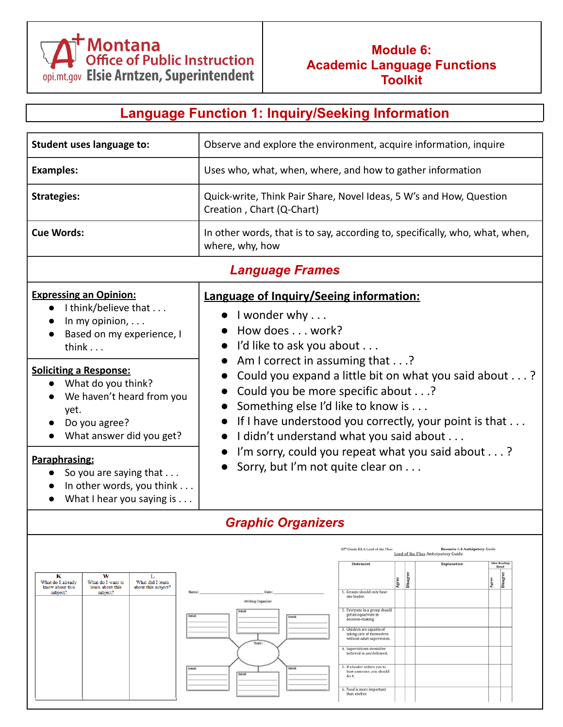

### **Module 6: Academic Language Functions Toolkit**

## **Language Function 1: Inquiry/Seeking Information**

| Student uses language to:                                                                                                                                                                                                                                                                                                                                            | Observe and explore the environment, acquire information, inquire                                                                                                                                                                                                                                                                                                                                                                                                                                                                                                                                                                                                                                                                          |  |  |
|----------------------------------------------------------------------------------------------------------------------------------------------------------------------------------------------------------------------------------------------------------------------------------------------------------------------------------------------------------------------|--------------------------------------------------------------------------------------------------------------------------------------------------------------------------------------------------------------------------------------------------------------------------------------------------------------------------------------------------------------------------------------------------------------------------------------------------------------------------------------------------------------------------------------------------------------------------------------------------------------------------------------------------------------------------------------------------------------------------------------------|--|--|
| <b>Examples:</b>                                                                                                                                                                                                                                                                                                                                                     | Uses who, what, when, where, and how to gather information                                                                                                                                                                                                                                                                                                                                                                                                                                                                                                                                                                                                                                                                                 |  |  |
| <b>Strategies:</b>                                                                                                                                                                                                                                                                                                                                                   | Quick-write, Think Pair Share, Novel Ideas, 5 W's and How, Question<br>Creation, Chart (Q-Chart)                                                                                                                                                                                                                                                                                                                                                                                                                                                                                                                                                                                                                                           |  |  |
| <b>Cue Words:</b>                                                                                                                                                                                                                                                                                                                                                    | In other words, that is to say, according to, specifically, who, what, when,<br>where, why, how                                                                                                                                                                                                                                                                                                                                                                                                                                                                                                                                                                                                                                            |  |  |
|                                                                                                                                                                                                                                                                                                                                                                      | <b>Language Frames</b>                                                                                                                                                                                                                                                                                                                                                                                                                                                                                                                                                                                                                                                                                                                     |  |  |
| <b>Expressing an Opinion:</b><br>I think/believe that<br>In my opinion,<br>Based on my experience, I<br>think $\ldots$<br><b>Soliciting a Response:</b><br>What do you think?<br>We haven't heard from you<br>yet.<br>Do you agree?<br>What answer did you get?<br>Paraphrasing:<br>So you are saying that<br>In other words, you think<br>What I hear you saying is | Language of Inquiry/Seeing information:<br>I wonder why $\dots$<br>How does work?<br>I'd like to ask you about<br>Am I correct in assuming that?<br>Could you expand a little bit on what you said about?<br>Could you be more specific about?<br>Something else I'd like to know is<br>If I have understood you correctly, your point is that<br>I didn't understand what you said about<br>I'm sorry, could you repeat what you said about?<br>Sorry, but I'm not quite clear on                                                                                                                                                                                                                                                         |  |  |
|                                                                                                                                                                                                                                                                                                                                                                      | <b>Graphic Organizers</b>                                                                                                                                                                                                                                                                                                                                                                                                                                                                                                                                                                                                                                                                                                                  |  |  |
| w<br>к<br>L<br>What do I already<br>What do I want to<br>What did I learn<br>know about this<br>learn about this<br>about this subject?<br>subject?<br>subject?<br>Name:<br>Detail:                                                                                                                                                                                  | <b>Resource 1.4-Anticipatory Guide</b><br>10 <sup>th</sup> Grade ELA Lord of the Flies<br>Lord of the Flies Anticipatory Guide<br>After Reading<br>Statement<br><b>Explanation</b><br>Novel<br>g<br>Disagree<br>Disagr<br>Agree<br>Agree<br>1. Groups should only have<br>Date:<br>one leader.<br>Writing Organizer<br>2. Everyone in a group should<br>Dutlatk<br>get an equal vote in<br><b>Dytail</b><br>decision-making.<br>3. Children are capable of<br>taking care of themselves<br>without adult supervision.<br>Topic<br>4. Superstitions should be<br>believed in and followed.<br>5. If a leader orders you to<br><b>Detail:</b><br>hurt someone, you should<br>Detail:<br>do it.<br>6. Food is more important<br>than shelter. |  |  |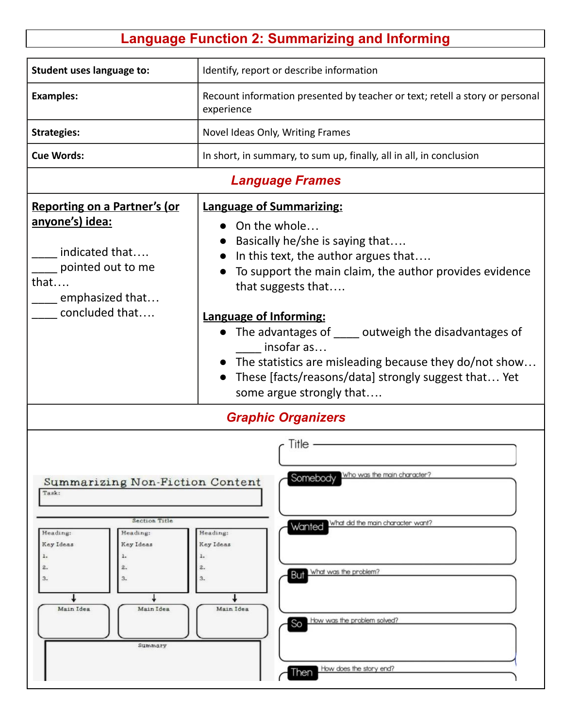# **Language Function 2: Summarizing and Informing**

| Student uses language to:                                                                                                                                                             | Identify, report or describe information                                                                                                                                                                                                                                                                                                                                                                                                                              |  |  |  |
|---------------------------------------------------------------------------------------------------------------------------------------------------------------------------------------|-----------------------------------------------------------------------------------------------------------------------------------------------------------------------------------------------------------------------------------------------------------------------------------------------------------------------------------------------------------------------------------------------------------------------------------------------------------------------|--|--|--|
| <b>Examples:</b>                                                                                                                                                                      | Recount information presented by teacher or text; retell a story or personal<br>experience                                                                                                                                                                                                                                                                                                                                                                            |  |  |  |
| <b>Strategies:</b>                                                                                                                                                                    | Novel Ideas Only, Writing Frames                                                                                                                                                                                                                                                                                                                                                                                                                                      |  |  |  |
| <b>Cue Words:</b>                                                                                                                                                                     | In short, in summary, to sum up, finally, all in all, in conclusion                                                                                                                                                                                                                                                                                                                                                                                                   |  |  |  |
|                                                                                                                                                                                       | <b>Language Frames</b>                                                                                                                                                                                                                                                                                                                                                                                                                                                |  |  |  |
| <b>Reporting on a Partner's (or</b><br>anyone's) idea:<br>indicated that<br>pointed out to me<br>that<br>emphasized that<br>concluded that                                            | <b>Language of Summarizing:</b><br>• On the whole<br>Basically he/she is saying that<br>In this text, the author argues that<br>To support the main claim, the author provides evidence<br>that suggests that<br><b>Language of Informing:</b><br>The advantages of _____ outweigh the disadvantages of<br>insofar as<br>• The statistics are misleading because they do/not show<br>These [facts/reasons/data] strongly suggest that Yet<br>some argue strongly that |  |  |  |
| <b>Graphic Organizers</b>                                                                                                                                                             |                                                                                                                                                                                                                                                                                                                                                                                                                                                                       |  |  |  |
| Summarizing Non-Fiction Content<br>Task:<br><b>Section Title</b><br>Heading:<br>Heading:<br>Key Ideas<br>Key Ideas<br>ı.<br>2.<br>2.<br>3.<br>3.<br>Main Idea<br>Main Idea<br>Summary | Title<br>Somebody Who was the main character?<br>Wanted What did the main character want?<br>Heading:<br>Key Ideas<br>2.<br>What was the problem?<br>But<br>3.<br>Main Idea<br>So How was the problem solved?                                                                                                                                                                                                                                                         |  |  |  |
|                                                                                                                                                                                       | How does the story end?<br>Then                                                                                                                                                                                                                                                                                                                                                                                                                                       |  |  |  |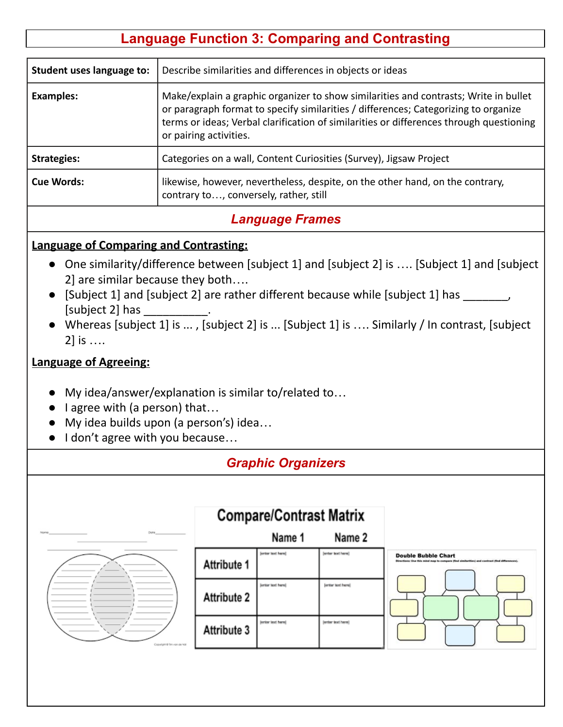## **Language Function 3: Comparing and Contrasting**

| Student uses language to: | Describe similarities and differences in objects or ideas                                                                                                                                                                                                                                        |
|---------------------------|--------------------------------------------------------------------------------------------------------------------------------------------------------------------------------------------------------------------------------------------------------------------------------------------------|
| <b>Examples:</b>          | Make/explain a graphic organizer to show similarities and contrasts; Write in bullet<br>or paragraph format to specify similarities / differences; Categorizing to organize<br>terms or ideas; Verbal clarification of similarities or differences through questioning<br>or pairing activities. |
| <b>Strategies:</b>        | Categories on a wall, Content Curiosities (Survey), Jigsaw Project                                                                                                                                                                                                                               |
| Cue Words:                | likewise, however, nevertheless, despite, on the other hand, on the contrary,<br>contrary to, conversely, rather, still                                                                                                                                                                          |

## *Language Frames*

#### **Language of Comparing and Contrasting:**

- One similarity/difference between [subject 1] and [subject 2] is .... [Subject 1] and [subject 2] are similar because they both….
- [Subject 1] and [subject 2] are rather different because while [subject 1] has \_\_\_\_\_\_\_, [subject 2] has
- Whereas [subject 1] is ... , [subject 2] is ... [Subject 1] is …. Similarly / In contrast, [subject 2] is ….

#### **Language of Agreeing:**

- My idea/answer/explanation is similar to/related to...
- lagree with (a person) that...
- My idea builds upon (a person's) idea…
- I don't agree with you because...

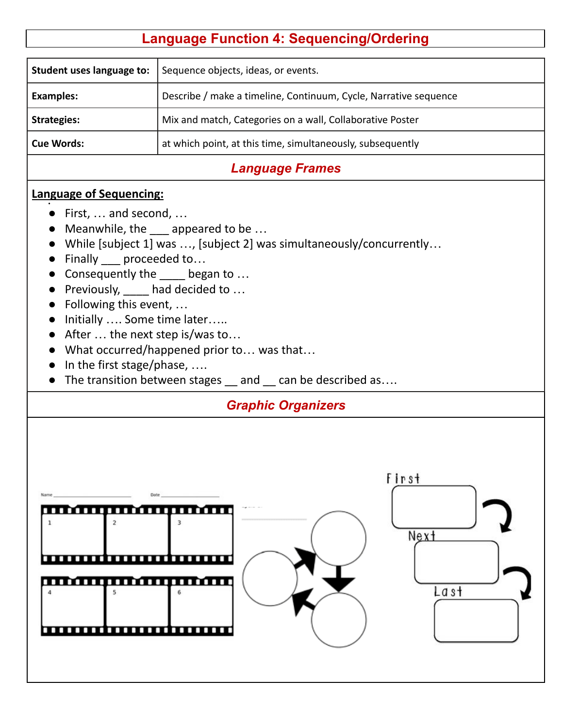# **Language Function 4: Sequencing/Ordering**

| Student uses language to:                                                                                                                                                                                                                                                                                            | Sequence objects, ideas, or events.                                                                                                                                                                            |  |  |
|----------------------------------------------------------------------------------------------------------------------------------------------------------------------------------------------------------------------------------------------------------------------------------------------------------------------|----------------------------------------------------------------------------------------------------------------------------------------------------------------------------------------------------------------|--|--|
| <b>Examples:</b>                                                                                                                                                                                                                                                                                                     | Describe / make a timeline, Continuum, Cycle, Narrative sequence                                                                                                                                               |  |  |
| <b>Strategies:</b>                                                                                                                                                                                                                                                                                                   | Mix and match, Categories on a wall, Collaborative Poster                                                                                                                                                      |  |  |
|                                                                                                                                                                                                                                                                                                                      |                                                                                                                                                                                                                |  |  |
| <b>Cue Words:</b>                                                                                                                                                                                                                                                                                                    | at which point, at this time, simultaneously, subsequently                                                                                                                                                     |  |  |
|                                                                                                                                                                                                                                                                                                                      | <b>Language Frames</b>                                                                                                                                                                                         |  |  |
| <b>Language of Sequencing:</b><br>$\bullet$ First,  and second,<br>$\bullet$<br>Finally ___ proceeded to<br>Consequently the ____ began to<br>Previously, had decided to<br>Following this event,<br>Initially  Some time later<br>$\bullet$<br>• After $\dots$ the next step is/was to<br>In the first stage/phase, | Meanwhile, the eappeared to be<br>While [subject 1] was , [subject 2] was simultaneously/concurrently<br>What occurred/happened prior to was that<br>The transition between stages _ and _ can be described as |  |  |
| <b>Graphic Organizers</b>                                                                                                                                                                                                                                                                                            |                                                                                                                                                                                                                |  |  |
| Date<br><u></u><br>$\mathbf{1}$<br>,,,,,,,,,,,,,,,,,                                                                                                                                                                                                                                                                 | First<br>Next<br>La st                                                                                                                                                                                         |  |  |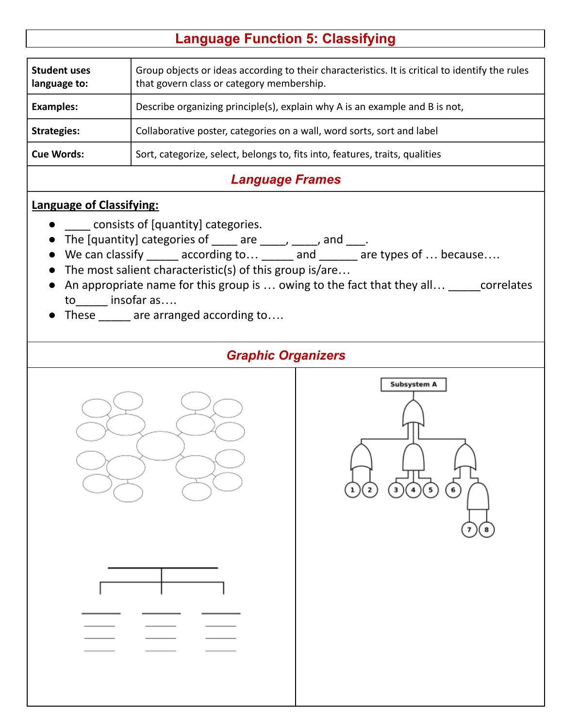## **Language Function 5: Classifying**

| <b>Student uses</b><br>language to: | Group objects or ideas according to their characteristics. It is critical to identify the rules<br>that govern class or category membership. |
|-------------------------------------|----------------------------------------------------------------------------------------------------------------------------------------------|
| <b>Examples:</b>                    | Describe organizing principle(s), explain why A is an example and B is not,                                                                  |
| <b>Strategies:</b>                  | Collaborative poster, categories on a wall, word sorts, sort and label                                                                       |
| <b>Cue Words:</b>                   | Sort, categorize, select, belongs to, fits into, features, traits, qualities                                                                 |
|                                     |                                                                                                                                              |

## *Language Frames*

#### **Language of Classifying:**

- **\_\_\_\_** consists of [quantity] categories.
- The [quantity] categories of  $\frac{1}{\sqrt{2}}$  are  $\frac{1}{\sqrt{2}}$  and  $\frac{1}{\sqrt{2}}$ .
- We can classify \_\_\_\_\_ according to... \_\_\_\_\_ and \_\_\_\_\_\_ are types of ... because....
- The most salient characteristic(s) of this group is/are...
- An appropriate name for this group is ... owing to the fact that they all... \_\_\_\_\_correlates to insofar as….
- These \_\_\_\_\_ are arranged according to....

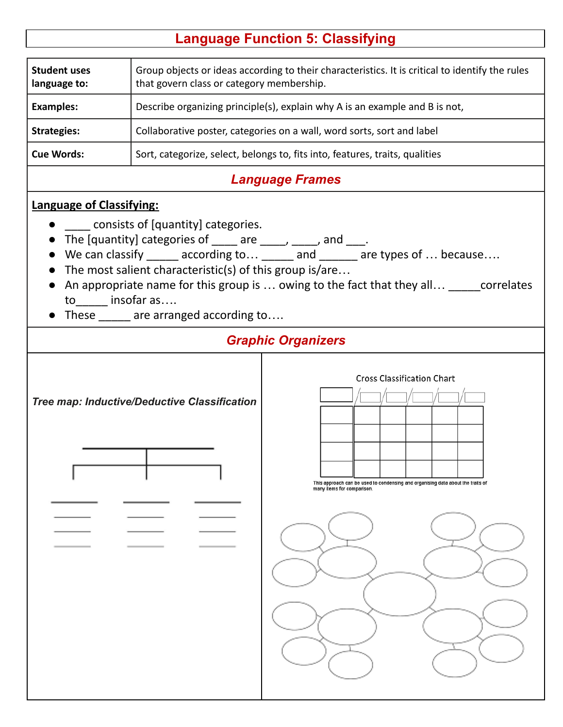## **Language Function 5: Classifying**

| <b>Student uses</b><br>language to: | Group objects or ideas according to their characteristics. It is critical to identify the rules<br>that govern class or category membership. |
|-------------------------------------|----------------------------------------------------------------------------------------------------------------------------------------------|
| <b>Examples:</b>                    | Describe organizing principle(s), explain why A is an example and B is not,                                                                  |
| <b>Strategies:</b>                  | Collaborative poster, categories on a wall, word sorts, sort and label                                                                       |
| <b>Cue Words:</b>                   | Sort, categorize, select, belongs to, fits into, features, traits, qualities                                                                 |
|                                     |                                                                                                                                              |

## *Language Frames*

### **Language of Classifying:**

- consists of [quantity] categories.
- The [quantity] categories of  $\frac{1}{\sqrt{2}}$  are  $\frac{1}{\sqrt{2}}$  and  $\frac{1}{\sqrt{2}}$ .
- We can classify \_\_\_\_\_ according to... \_\_\_\_\_ and \_\_\_\_\_\_ are types of ... because....
- The most salient characteristic(s) of this group is/are...
- An appropriate name for this group is ... owing to the fact that they all... \_\_\_\_\_correlates to insofar as….
- These \_\_\_\_\_ are arranged according to....

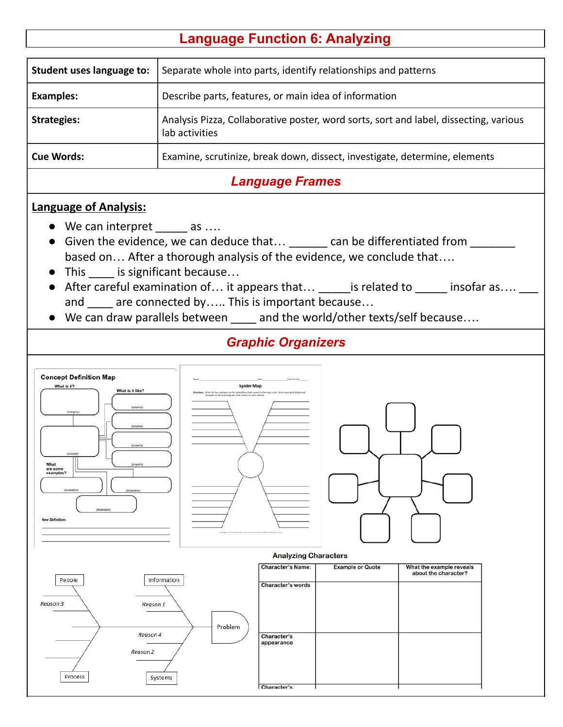## **Language Function 6: Analyzing**

| Student uses language to: | Separate whole into parts, identify relationships and patterns                                          |
|---------------------------|---------------------------------------------------------------------------------------------------------|
| <b>Examples:</b>          | Describe parts, features, or main idea of information                                                   |
| <b>Strategies:</b>        | Analysis Pizza, Collaborative poster, word sorts, sort and label, dissecting, various<br>lab activities |
| <b>Cue Words:</b>         | Examine, scrutinize, break down, dissect, investigate, determine, elements                              |
|                           |                                                                                                         |

### *Language Frames*

#### **Language of Analysis:**

- We can interpret \_\_\_\_\_ as ....
- Given the evidence, we can deduce that...  $\qquad \qquad$  can be differentiated from  $\qquad \qquad$ based on… After a thorough analysis of the evidence, we conclude that….
- This is significant because...
- After careful examination of... it appears that... \_\_\_\_\_\_ is related to \_\_\_\_\_\_ insofar as.... \_\_\_ and are connected by….. This is important because…
- We can draw parallels between \_\_\_\_ and the world/other texts/self because….

### *Graphic Organizers*



Character's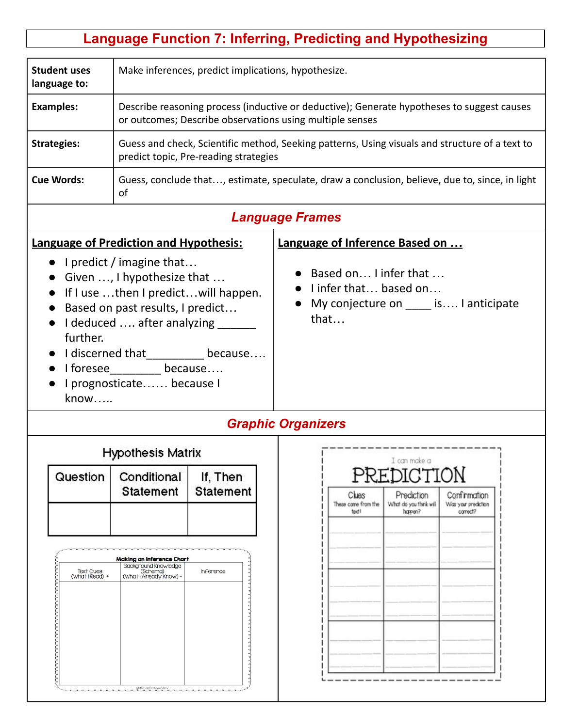# **Language Function 7: Inferring, Predicting and Hypothesizing**

| <b>Student uses</b><br>language to:                               | Make inferences, predict implications, hypothesize.                                                                                                                                                                                                      |                                                                                                                                         |                                                                     |                                       |                                                                                                       |                                                 |  |
|-------------------------------------------------------------------|----------------------------------------------------------------------------------------------------------------------------------------------------------------------------------------------------------------------------------------------------------|-----------------------------------------------------------------------------------------------------------------------------------------|---------------------------------------------------------------------|---------------------------------------|-------------------------------------------------------------------------------------------------------|-------------------------------------------------|--|
| <b>Examples:</b>                                                  | Describe reasoning process (inductive or deductive); Generate hypotheses to suggest causes<br>or outcomes; Describe observations using multiple senses                                                                                                   |                                                                                                                                         |                                                                     |                                       |                                                                                                       |                                                 |  |
| <b>Strategies:</b>                                                |                                                                                                                                                                                                                                                          | Guess and check, Scientific method, Seeking patterns, Using visuals and structure of a text to<br>predict topic, Pre-reading strategies |                                                                     |                                       |                                                                                                       |                                                 |  |
| <b>Cue Words:</b>                                                 | οf                                                                                                                                                                                                                                                       | Guess, conclude that, estimate, speculate, draw a conclusion, believe, due to, since, in light                                          |                                                                     |                                       |                                                                                                       |                                                 |  |
|                                                                   |                                                                                                                                                                                                                                                          |                                                                                                                                         | <b>Language Frames</b>                                              |                                       |                                                                                                       |                                                 |  |
| <b>Language of Prediction and Hypothesis:</b><br>further.<br>know | • I predict / imagine that<br>• Given $\dots$ , I hypothesize that $\dots$<br>If I use then I predict will happen.<br>Based on past results, I predict<br>I deduced  after analyzing ______<br>I foresee___________ because<br>I prognosticate because I | I discerned that __________ because                                                                                                     | Language of Inference Based on<br>that<br><b>Graphic Organizers</b> |                                       | • Based on I infer that<br>$\bullet$ linfer that based on<br>My conjecture on _______ is I anticipate |                                                 |  |
|                                                                   | <b>Hypothesis Matrix</b>                                                                                                                                                                                                                                 |                                                                                                                                         |                                                                     |                                       | I can make a                                                                                          |                                                 |  |
| Question                                                          | Conditional<br><b>Statement</b>                                                                                                                                                                                                                          | If, Then<br><b>Statement</b>                                                                                                            |                                                                     | Clues<br>These come from the<br>textl | PREDICTION<br>Prediction<br>What do you think will<br>happen?                                         | Confirmation<br>Was your prediction<br>correct? |  |
| <b>Text Clues</b><br>(What I Read) +                              | <b>Making an Inference Chart</b><br><b>Background Knowledge</b><br>(Schema)<br>(What I Already Know) =<br>@RachelOstrander2012                                                                                                                           | hference                                                                                                                                |                                                                     |                                       |                                                                                                       |                                                 |  |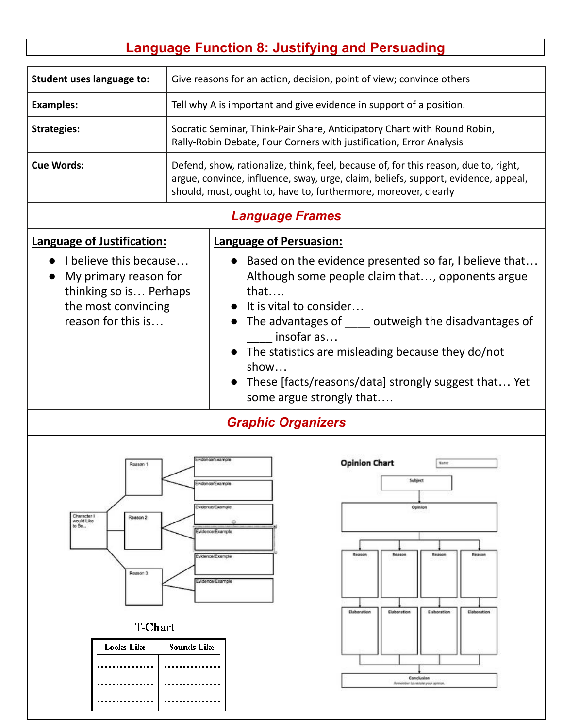# **Language Function 8: Justifying and Persuading**

| Student uses language to:                                                                                                                                                                     | Give reasons for an action, decision, point of view; convince others                                                                                                                                                 |                                                                                                                                                                                                                                              |                                                                                                                                                         |  |  |
|-----------------------------------------------------------------------------------------------------------------------------------------------------------------------------------------------|----------------------------------------------------------------------------------------------------------------------------------------------------------------------------------------------------------------------|----------------------------------------------------------------------------------------------------------------------------------------------------------------------------------------------------------------------------------------------|---------------------------------------------------------------------------------------------------------------------------------------------------------|--|--|
| <b>Examples:</b>                                                                                                                                                                              |                                                                                                                                                                                                                      | Tell why A is important and give evidence in support of a position.                                                                                                                                                                          |                                                                                                                                                         |  |  |
| <b>Strategies:</b>                                                                                                                                                                            |                                                                                                                                                                                                                      | Socratic Seminar, Think-Pair Share, Anticipatory Chart with Round Robin,<br>Rally-Robin Debate, Four Corners with justification, Error Analysis                                                                                              |                                                                                                                                                         |  |  |
| <b>Cue Words:</b>                                                                                                                                                                             |                                                                                                                                                                                                                      | Defend, show, rationalize, think, feel, because of, for this reason, due to, right,<br>argue, convince, influence, sway, urge, claim, beliefs, support, evidence, appeal,<br>should, must, ought to, have to, furthermore, moreover, clearly |                                                                                                                                                         |  |  |
|                                                                                                                                                                                               |                                                                                                                                                                                                                      | <b>Language Frames</b>                                                                                                                                                                                                                       |                                                                                                                                                         |  |  |
| Language of Justification:<br>I believe this because                                                                                                                                          |                                                                                                                                                                                                                      | <b>Language of Persuasion:</b>                                                                                                                                                                                                               | Based on the evidence presented so far, I believe that                                                                                                  |  |  |
| My primary reason for<br>thinking so is Perhaps<br>the most convincing                                                                                                                        | Although some people claim that, opponents argue<br>that<br>It is vital to consider                                                                                                                                  |                                                                                                                                                                                                                                              |                                                                                                                                                         |  |  |
| reason for this is                                                                                                                                                                            | The advantages of _____ outweigh the disadvantages of<br>insofar as<br>The statistics are misleading because they do/not<br>show<br>These [facts/reasons/data] strongly suggest that Yet<br>some argue strongly that |                                                                                                                                                                                                                                              |                                                                                                                                                         |  |  |
| <b>Graphic Organizers</b>                                                                                                                                                                     |                                                                                                                                                                                                                      |                                                                                                                                                                                                                                              |                                                                                                                                                         |  |  |
| vdenosii xampir<br>Roason 1<br>Evidence/Example<br>Evidence/Example<br>Character I<br>Reason 2<br>would Like<br>to Bo<br>Evidence/Example<br>Evidence/Example<br>Reason 3<br>Evidence/Example |                                                                                                                                                                                                                      |                                                                                                                                                                                                                                              | <b>Opinion Chart</b><br>Natre<br>Subject<br>Opinion<br>Reason<br>Reason<br>Reason<br>Reason<br>Elaboration<br>Elaboration<br>Elaboration<br>Elaboration |  |  |
| <b>T-Chart</b>                                                                                                                                                                                |                                                                                                                                                                                                                      |                                                                                                                                                                                                                                              |                                                                                                                                                         |  |  |
| <b>Looks Like</b>                                                                                                                                                                             | Sounds Like                                                                                                                                                                                                          |                                                                                                                                                                                                                                              | Conclusion<br>Remember by restate your opinion.                                                                                                         |  |  |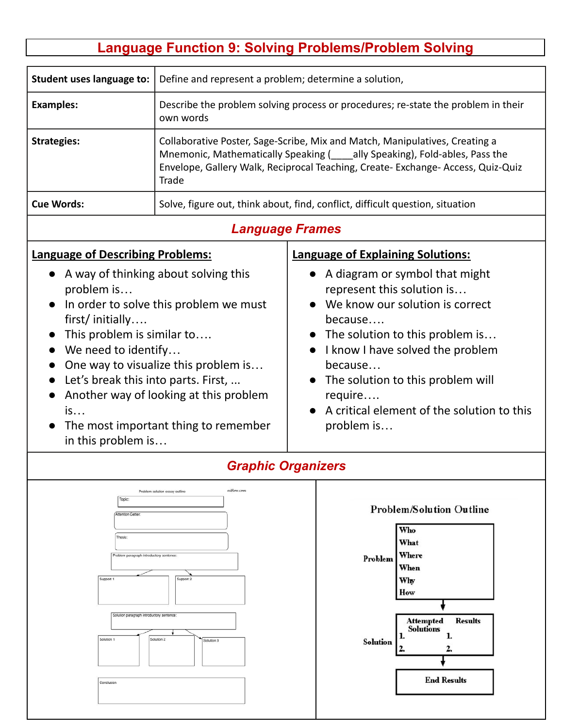# **Language Function 9: Solving Problems/Problem Solving**

| Student uses language to:                                                                                                                                                                                                                                                                                                                                                              | Define and represent a problem; determine a solution,                                                                                                                                                                                               |                                                                                                                                                                                                                                                                                                                                                                  |  |  |  |
|----------------------------------------------------------------------------------------------------------------------------------------------------------------------------------------------------------------------------------------------------------------------------------------------------------------------------------------------------------------------------------------|-----------------------------------------------------------------------------------------------------------------------------------------------------------------------------------------------------------------------------------------------------|------------------------------------------------------------------------------------------------------------------------------------------------------------------------------------------------------------------------------------------------------------------------------------------------------------------------------------------------------------------|--|--|--|
| <b>Examples:</b>                                                                                                                                                                                                                                                                                                                                                                       | own words                                                                                                                                                                                                                                           | Describe the problem solving process or procedures; re-state the problem in their                                                                                                                                                                                                                                                                                |  |  |  |
| <b>Strategies:</b>                                                                                                                                                                                                                                                                                                                                                                     | Collaborative Poster, Sage-Scribe, Mix and Match, Manipulatives, Creating a<br>Mnemonic, Mathematically Speaking (ally Speaking), Fold-ables, Pass the<br>Envelope, Gallery Walk, Reciprocal Teaching, Create- Exchange- Access, Quiz-Quiz<br>Trade |                                                                                                                                                                                                                                                                                                                                                                  |  |  |  |
| <b>Cue Words:</b>                                                                                                                                                                                                                                                                                                                                                                      | Solve, figure out, think about, find, conflict, difficult question, situation                                                                                                                                                                       |                                                                                                                                                                                                                                                                                                                                                                  |  |  |  |
| <b>Language Frames</b>                                                                                                                                                                                                                                                                                                                                                                 |                                                                                                                                                                                                                                                     |                                                                                                                                                                                                                                                                                                                                                                  |  |  |  |
| <b>Language of Describing Problems:</b><br>A way of thinking about solving this<br>problem is<br>In order to solve this problem we must<br>first/initially<br>This problem is similar to<br>We need to identify<br>One way to visualize this problem is<br>Let's break this into parts. First,<br>Another way of looking at this problem<br>is<br>The most important thing to remember |                                                                                                                                                                                                                                                     | <b>Language of Explaining Solutions:</b><br>• A diagram or symbol that might<br>represent this solution is<br>• We know our solution is correct<br>because<br>• The solution to this problem is<br>• I know I have solved the problem<br>because<br>• The solution to this problem will<br>require<br>• A critical element of the solution to this<br>problem is |  |  |  |

| Topic:<br>Attention Getter:<br>Thesis:<br>Problem paragraph introductory sentence:<br>Support 1<br>Support 2 | <b>Problem/Solution Outline</b><br>Who<br>What<br>Where<br>Problem<br>When<br>Why<br>How                    |
|--------------------------------------------------------------------------------------------------------------|-------------------------------------------------------------------------------------------------------------|
| Solution paragraph introductory sentence:<br>Solution 2<br>Solution 1<br>Solution 3<br>Conclusion            | <b>Results</b><br><b>Attempted<br/>Solutions</b><br>1.<br><b>Solution</b><br>2.<br>2.<br><b>End Results</b> |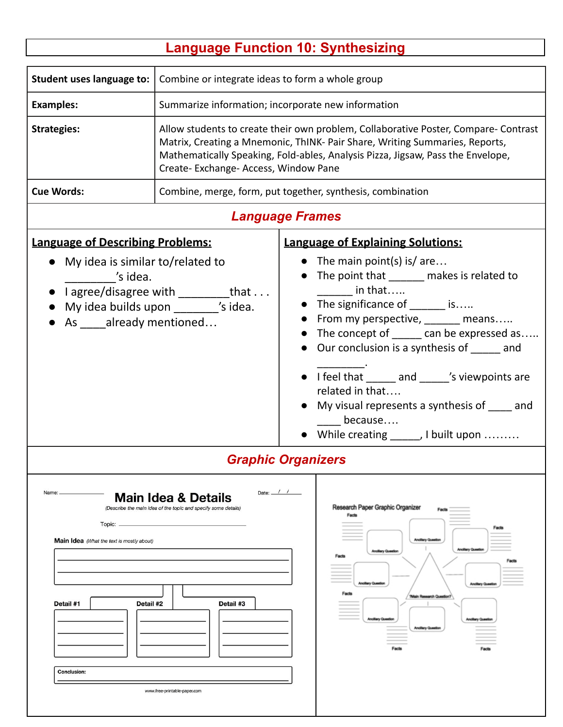# **Language Function 10: Synthesizing**

| <b>Student uses language to:</b>                                                                                      | Combine or integrate ideas to form a whole group                                                                                                                                                                                                                                               |  |                                                                                                                                                                                                                                                                                                                                                                                                                                                                                                      |  |  |
|-----------------------------------------------------------------------------------------------------------------------|------------------------------------------------------------------------------------------------------------------------------------------------------------------------------------------------------------------------------------------------------------------------------------------------|--|------------------------------------------------------------------------------------------------------------------------------------------------------------------------------------------------------------------------------------------------------------------------------------------------------------------------------------------------------------------------------------------------------------------------------------------------------------------------------------------------------|--|--|
| <b>Examples:</b>                                                                                                      | Summarize information; incorporate new information                                                                                                                                                                                                                                             |  |                                                                                                                                                                                                                                                                                                                                                                                                                                                                                                      |  |  |
| <b>Strategies:</b>                                                                                                    | Allow students to create their own problem, Collaborative Poster, Compare- Contrast<br>Matrix, Creating a Mnemonic, ThINK- Pair Share, Writing Summaries, Reports,<br>Mathematically Speaking, Fold-ables, Analysis Pizza, Jigsaw, Pass the Envelope,<br>Create- Exchange- Access, Window Pane |  |                                                                                                                                                                                                                                                                                                                                                                                                                                                                                                      |  |  |
| <b>Cue Words:</b>                                                                                                     | Combine, merge, form, put together, synthesis, combination                                                                                                                                                                                                                                     |  |                                                                                                                                                                                                                                                                                                                                                                                                                                                                                                      |  |  |
|                                                                                                                       | <b>Language Frames</b>                                                                                                                                                                                                                                                                         |  |                                                                                                                                                                                                                                                                                                                                                                                                                                                                                                      |  |  |
| <b>Language of Describing Problems:</b><br>s idea.<br>As ____already mentioned                                        | My idea is similar to/related to<br>I agree/disagree with ___________that<br>My idea builds upon ________ 's idea.                                                                                                                                                                             |  | <b>Language of Explaining Solutions:</b><br>• The main point(s) is/ are<br>The point that _______ makes is related to<br>$\mathsf{in}\ \mathsf{that}\dots$<br>• The significance of ______ is<br>From my perspective, ______ means<br>The concept of ______ can be expressed as<br>Our conclusion is a synthesis of ______ and<br>• I feel that _____ and ____'s viewpoints are<br>related in that<br>My visual represents a synthesis of same and<br>because<br>While creating ______, I built upon |  |  |
| Name:<br>Topic: _<br><b>Main Idea</b> (What the text is mostly about)<br>Detail #1<br>Detail #2<br><b>Conclusion:</b> | <b>Graphic Organizers</b><br>Date: $\frac{1}{1}$ /<br><b>Main Idea &amp; Details</b><br>(Describe the main idea of the topic and specify some details)<br>Detail #3<br>www.free-printable-paper.com                                                                                            |  | Research Paper Graphic Organizer<br>Facts<br>Facts<br><b>Anollary Ques</b><br><b>Ancillary Crue</b><br>Ancillary Cues<br>Analilary Cu<br>Facts<br><b>'Main Research Cues</b><br>Ancillary Cur                                                                                                                                                                                                                                                                                                        |  |  |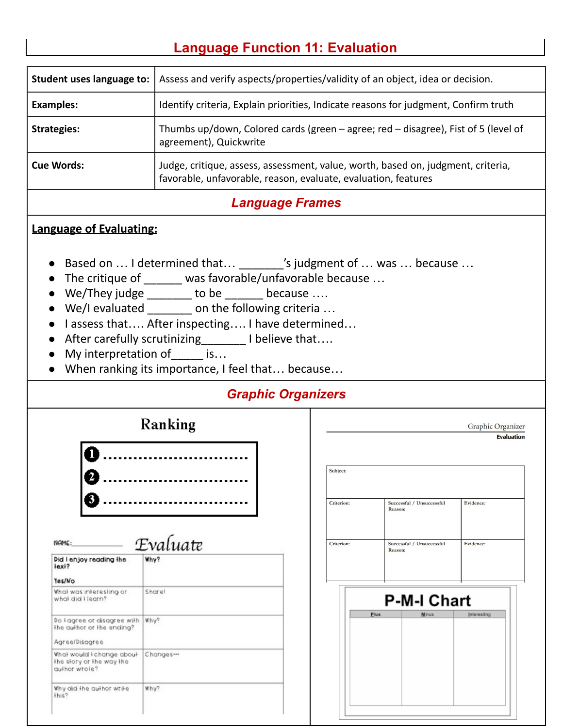## **Language Function 11: Evaluation**

| Student uses language to: | Assess and verify aspects/properties/validity of an object, idea or decision.                                                                      |
|---------------------------|----------------------------------------------------------------------------------------------------------------------------------------------------|
| <b>Examples:</b>          | Identify criteria, Explain priorities, Indicate reasons for judgment, Confirm truth                                                                |
| <b>Strategies:</b>        | Thumbs up/down, Colored cards (green - agree; red - disagree), Fist of 5 (level of<br>agreement), Quickwrite                                       |
| <b>Cue Words:</b>         | Judge, critique, assess, assessment, value, worth, based on, judgment, criteria,<br>favorable, unfavorable, reason, evaluate, evaluation, features |

### *Language Frames*

#### **Language of Evaluating:**

- Based on ... I determined that ... \_\_\_\_\_\_\_'s judgment of ... was ... because ...
- The critique of \_\_\_\_\_\_ was favorable/unfavorable because …
- We/They judge \_\_\_\_\_\_\_ to be \_\_\_\_\_\_ because ....
- We/I evaluated on the following criteria ...
- Lassess that.... After inspecting.... I have determined...
- After carefully scrutinizing \_\_\_\_\_\_ I believe that….
- My interpretation of is...
- When ranking its importance, I feel that… because…

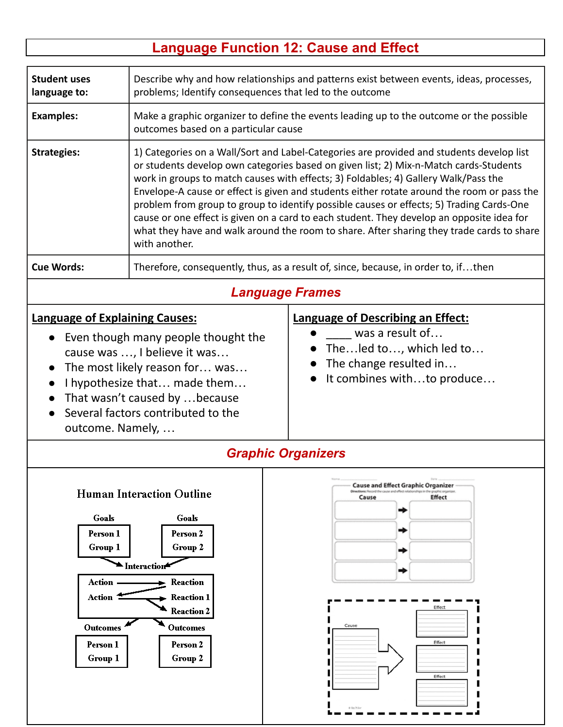# **Language Function 12: Cause and Effect**

| <b>Student uses</b><br>language to:                                                                                                                                                                                                                                        | Describe why and how relationships and patterns exist between events, ideas, processes,<br>problems; Identify consequences that led to the outcome                                                                                                                                                                                                                                                                                                                                                                                                                                                                                                                            |  |                                                                                                                                                                                             |  |  |
|----------------------------------------------------------------------------------------------------------------------------------------------------------------------------------------------------------------------------------------------------------------------------|-------------------------------------------------------------------------------------------------------------------------------------------------------------------------------------------------------------------------------------------------------------------------------------------------------------------------------------------------------------------------------------------------------------------------------------------------------------------------------------------------------------------------------------------------------------------------------------------------------------------------------------------------------------------------------|--|---------------------------------------------------------------------------------------------------------------------------------------------------------------------------------------------|--|--|
| <b>Examples:</b>                                                                                                                                                                                                                                                           | Make a graphic organizer to define the events leading up to the outcome or the possible<br>outcomes based on a particular cause                                                                                                                                                                                                                                                                                                                                                                                                                                                                                                                                               |  |                                                                                                                                                                                             |  |  |
| <b>Strategies:</b>                                                                                                                                                                                                                                                         | 1) Categories on a Wall/Sort and Label-Categories are provided and students develop list<br>or students develop own categories based on given list; 2) Mix-n-Match cards-Students<br>work in groups to match causes with effects; 3) Foldables; 4) Gallery Walk/Pass the<br>Envelope-A cause or effect is given and students either rotate around the room or pass the<br>problem from group to group to identify possible causes or effects; 5) Trading Cards-One<br>cause or one effect is given on a card to each student. They develop an opposite idea for<br>what they have and walk around the room to share. After sharing they trade cards to share<br>with another. |  |                                                                                                                                                                                             |  |  |
| <b>Cue Words:</b>                                                                                                                                                                                                                                                          | Therefore, consequently, thus, as a result of, since, because, in order to, ifthen                                                                                                                                                                                                                                                                                                                                                                                                                                                                                                                                                                                            |  |                                                                                                                                                                                             |  |  |
|                                                                                                                                                                                                                                                                            |                                                                                                                                                                                                                                                                                                                                                                                                                                                                                                                                                                                                                                                                               |  | <b>Language Frames</b>                                                                                                                                                                      |  |  |
| <b>Language of Explaining Causes:</b><br>Even though many people thought the<br>cause was , I believe it was<br>The most likely reason for was<br>I hypothesize that made them<br>That wasn't caused by  because<br>Several factors contributed to the<br>outcome. Namely, |                                                                                                                                                                                                                                                                                                                                                                                                                                                                                                                                                                                                                                                                               |  | <b>Language of Describing an Effect:</b><br>was a result of<br>• Theled to, which led to<br>The change resulted in<br>It combines withto produce                                            |  |  |
|                                                                                                                                                                                                                                                                            | <b>Graphic Organizers</b>                                                                                                                                                                                                                                                                                                                                                                                                                                                                                                                                                                                                                                                     |  |                                                                                                                                                                                             |  |  |
| Goals<br>Person 1<br>Group 1<br>Action .<br>Action<br><b>Outcomes</b><br>Person 1<br>Group 1                                                                                                                                                                               | <b>Human Interaction Outline</b><br>Goals<br>Person 2<br>Group 2<br>Interaction<br>Reaction<br><b>Reaction 1</b><br><b>Reaction 2</b><br><b>Outcomes</b><br>Person 2<br>Group 2                                                                                                                                                                                                                                                                                                                                                                                                                                                                                               |  | <b>Cause and Effect Graphic Organizer</b><br>Directions: Record the cause and effect rel<br><b>Effect</b><br>Cause<br>⇒<br>⇒<br>⇒<br>⇒<br>Effect<br>Cause<br>Effect<br>Effect<br>O By Kiler |  |  |